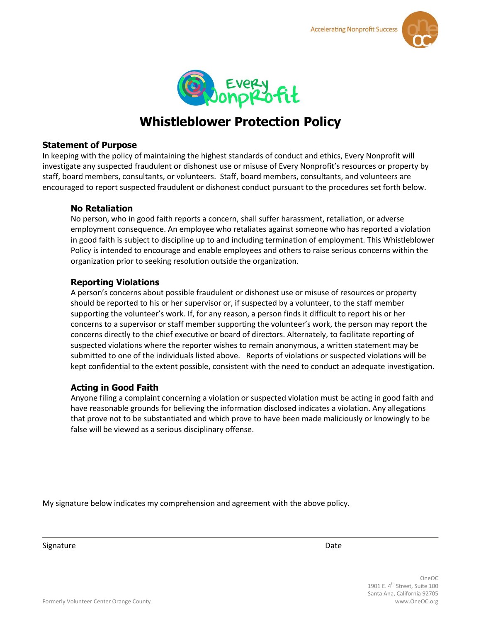



# **Whistleblower Protection Policy**

#### **Statement of Purpose**

In keeping with the policy of maintaining the highest standards of conduct and ethics, Every Nonprofit will investigate any suspected fraudulent or dishonest use or misuse of Every Nonprofit's resources or property by staff, board members, consultants, or volunteers. Staff, board members, consultants, and volunteers are encouraged to report suspected fraudulent or dishonest conduct pursuant to the procedures set forth below.

## **No Retaliation**

No person, who in good faith reports a concern, shall suffer harassment, retaliation, or adverse employment consequence. An employee who retaliates against someone who has reported a violation in good faith is subject to discipline up to and including termination of employment. This Whistleblower Policy is intended to encourage and enable employees and others to raise serious concerns within the organization prior to seeking resolution outside the organization.

## **Reporting Violations**

A person's concerns about possible fraudulent or dishonest use or misuse of resources or property should be reported to his or her supervisor or, if suspected by a volunteer, to the staff member supporting the volunteer's work. If, for any reason, a person finds it difficult to report his or her concerns to a supervisor or staff member supporting the volunteer's work, the person may report the concerns directly to the chief executive or board of directors. Alternately, to facilitate reporting of suspected violations where the reporter wishes to remain anonymous, a written statement may be submitted to one of the individuals listed above. Reports of violations or suspected violations will be kept confidential to the extent possible, consistent with the need to conduct an adequate investigation.

# **Acting in Good Faith**

Anyone filing a complaint concerning a violation or suspected violation must be acting in good faith and have reasonable grounds for believing the information disclosed indicates a violation. Any allegations that prove not to be substantiated and which prove to have been made maliciously or knowingly to be false will be viewed as a serious disciplinary offense.

My signature below indicates my comprehension and agreement with the above policy.

Signature **Date** 

OneOC 1901 E.  $4^{\text{th}}$  Street, Suite 100 Santa Ana, California 92705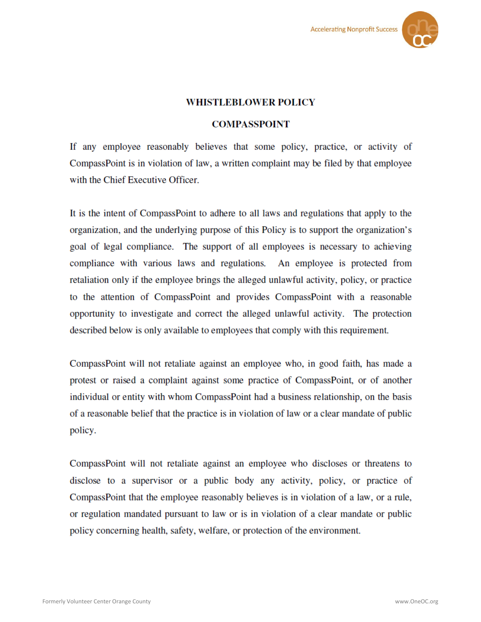

# **WHISTLEBLOWER POLICY**

#### **COMPASSPOINT**

If any employee reasonably believes that some policy, practice, or activity of CompassPoint is in violation of law, a written complaint may be filed by that employee with the Chief Executive Officer.

It is the intent of CompassPoint to adhere to all laws and regulations that apply to the organization, and the underlying purpose of this Policy is to support the organization's goal of legal compliance. The support of all employees is necessary to achieving compliance with various laws and regulations. An employee is protected from retaliation only if the employee brings the alleged unlawful activity, policy, or practice to the attention of CompassPoint and provides CompassPoint with a reasonable opportunity to investigate and correct the alleged unlawful activity. The protection described below is only available to employees that comply with this requirement.

CompassPoint will not retaliate against an employee who, in good faith, has made a protest or raised a complaint against some practice of CompassPoint, or of another individual or entity with whom CompassPoint had a business relationship, on the basis of a reasonable belief that the practice is in violation of law or a clear mandate of public policy.

CompassPoint will not retaliate against an employee who discloses or threatens to disclose to a supervisor or a public body any activity, policy, or practice of CompassPoint that the employee reasonably believes is in violation of a law, or a rule, or regulation mandated pursuant to law or is in violation of a clear mandate or public policy concerning health, safety, welfare, or protection of the environment.